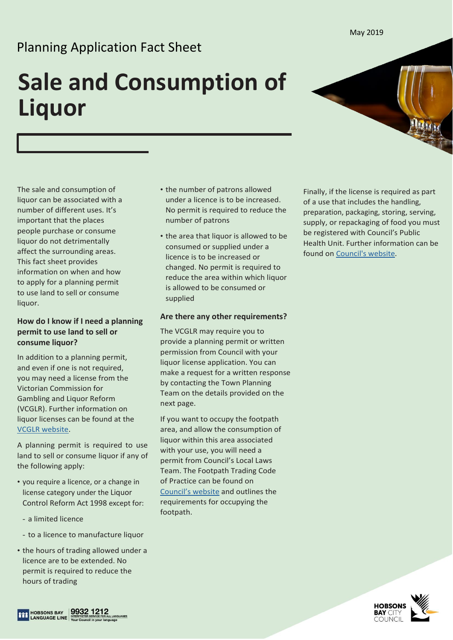#### May 2019

## Planning Application Fact Sheet

# **Sale and Consumption of Liquor**



The sale and consumption of liquor can be associated with a number of different uses. It's important that the places people purchase or consume liquor do not detrimentally affect the surrounding areas. This fact sheet provides information on when and how to apply for a planning permit to use land to sell or consume liquor.

## **How do I know if I need a planning permit to use land to sell or consume liquor?**

In addition to a planning permit, and even if one is not required, you may need a license from the Victorian Commission for Gambling and Liquor Reform (VCGLR). Further information on liquor licenses can be found at the [VCGLR website.](https://www.vcglr.vic.gov.au/)

A planning permit is required to use land to sell or consume liquor if any of the following apply:

- you require a licence, or a change in license category under the Liquor Control Reform Act 1998 except for:
	- a limited licence
- to a licence to manufacture liquor
- the hours of trading allowed under a licence are to be extended. No permit is required to reduce the hours of trading
- the number of patrons allowed under a licence is to be increased. No permit is required to reduce the number of patrons
- the area that liquor is allowed to be consumed or supplied under a licence is to be increased or changed. No permit is required to reduce the area within which liquor is allowed to be consumed or supplied

### **Are there any other requirements?**

The VCGLR may require you to provide a planning permit or written permission from Council with your liquor license application. You can make a request for a written response by contacting the Town Planning Team on the details provided on the next page.

If you want to occupy the footpath area, and allow the consumption of liquor within this area associated with your use, you will need a permit from Council's Local Laws Team. The Footpath Trading Code of Practice can be found on [Council's website](https://www.hobsonsbay.vic.gov.au/Council/Regulations/Footpath-Trading-Code-of-Practice?BestBetMatch=footpath%20trading%20code%20of%20practice|d13b95b2-5146-4b00-9e3e-a80c73739a64|4f05f368-ecaa-4a93-b749-7ad6c4867c1f|en-AU) and outlines the requirements for occupying the footpath.

Finally, if the license is required as part of a use that includes the handling, preparation, packaging, storing, serving, supply, or repackaging of food you must be registered with Council's Public Health Unit. Further information can be found on [Council's website.](https://www.hobsonsbay.vic.gov.au/Business/Food-Public-Health-Premises/Starting-a-New-Business)